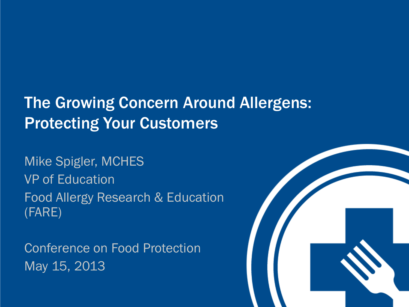# The Growing Concern Around Allergens: **Protecting Your Customers**

Mike Spigler, MCHES VP of Education Food Allergy Research & Education (FARE)

Conference on Food Protection May 15, 2013

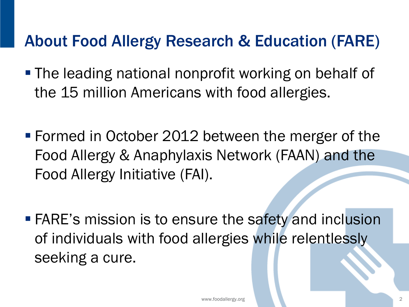# About Food Allergy Research & Education (FARE)

- **The leading national nonprofit working on behalf of** the 15 million Americans with food allergies.
- Formed in October 2012 between the merger of the Food Allergy & Anaphylaxis Network (FAAN) and the Food Allergy Initiative (FAI).
- **FARE's mission is to ensure the safety and inclusion** of individuals with food allergies while relentlessly seeking a cure.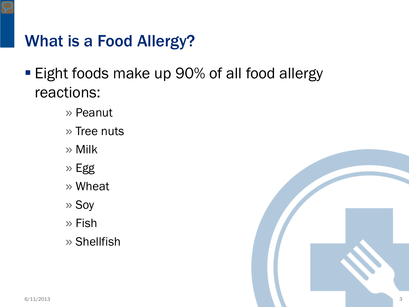# What is a Food Allergy?

- **Eight foods make up 90% of all food allergy** reactions:
	- » Peanut
	- » Tree nuts
	- » Milk
	- » Egg
	- » Wheat
	- » Soy
	- » Fish
	- » Shellfish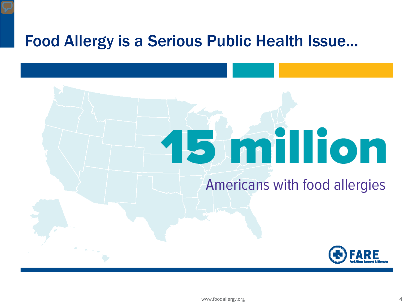#### Food Allergy is a Serious Public Health Issue...

# **B** million

#### Americans with food allergies



www.foodallergy.org 4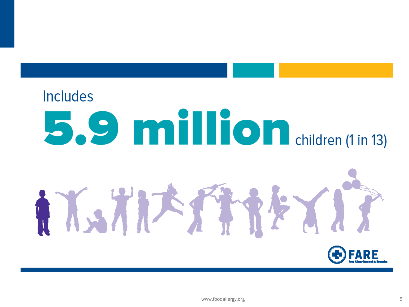# **Includes S.S. Million** children (1 in 13)



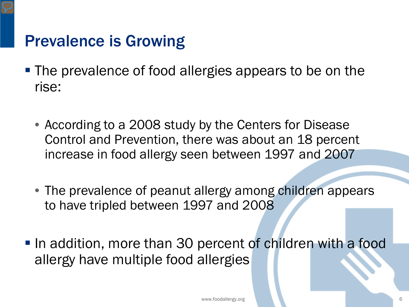## Prevalence is Growing

- The prevalence of food allergies appears to be on the rise:
	- According to a 2008 study by the Centers for Disease Control and Prevention, there was about an 18 percent increase in food allergy seen between 1997 and 2007
	- The prevalence of peanut allergy among children appears to have tripled between 1997 and 2008
- In addition, more than 30 percent of children with a food allergy have multiple food allergies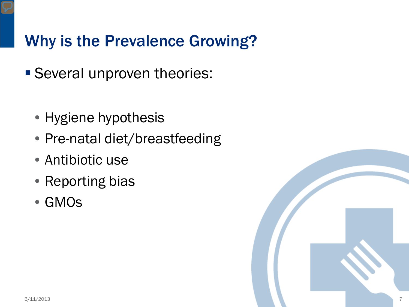# Why is the Prevalence Growing?

- Several unproven theories:
	- Hygiene hypothesis
	- Pre-natal diet/breastfeeding
	- Antibiotic use
	- Reporting bias
	- GMOs

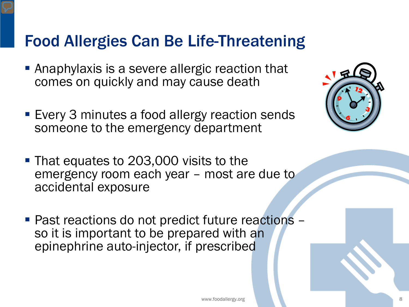## Food Allergies Can Be Life-Threatening

- **Anaphylaxis is a severe allergic reaction that** comes on quickly and may cause death
- **Every 3 minutes a food allergy reaction sends** someone to the emergency department
- **That equates to 203,000 visits to the** emergency room each year – most are due to accidental exposure
- Past reactions do not predict future reactions –<br>so it is important to be prepared with an epinephrine auto-injector, if prescribed

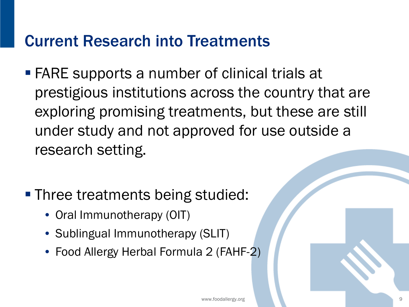#### Current Research into Treatments

- FARE supports a number of clinical trials at prestigious institutions across the country that are exploring promising treatments, but these are still under study and not approved for use outside a research setting.
- **Three treatments being studied:** 
	- Oral Immunotherapy (OIT)
	- Sublingual Immunotherapy (SLIT)
	- Food Allergy Herbal Formula 2 (FAHF-2)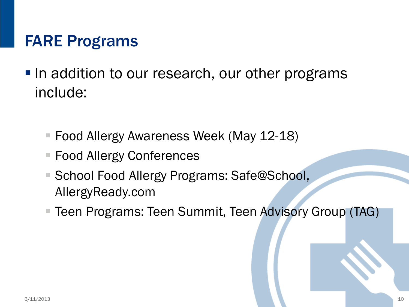# FARE Programs

- In addition to our research, our other programs include:
	- Food Allergy Awareness Week (May 12-18)
	- Food Allergy Conferences
	- School Food Allergy Programs: Safe@School, AllergyReady.com
	- Teen Programs: Teen Summit, Teen Advisory Group (TAG)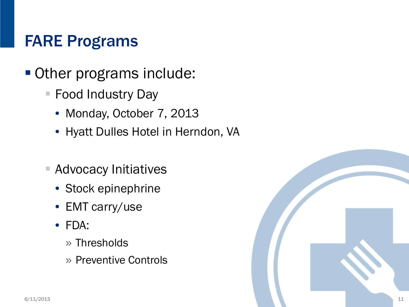# FARE Programs

- Other programs include:
	- Food Industry Day
		- Monday, October 7, 2013
		- Hyatt Dulles Hotel in Herndon, VA
	- **Advocacy Initiatives** 
		- Stock epinephrine
		- EMT carry/use
		- FDA:
			- » Thresholds
			- » Preventive Controls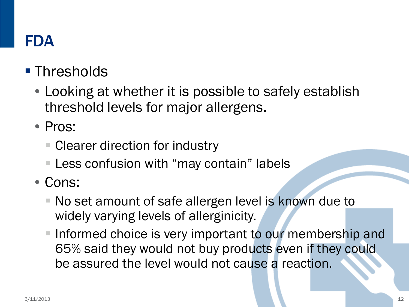# FDA

# **Thresholds**

- Looking at whether it is possible to safely establish threshold levels for major allergens.
- Pros:
	- Clearer direction for industry
	- Less confusion with "may contain" labels
- Cons:
	- No set amount of safe allergen level is known due to widely varying levels of allerginicity.
	- Informed choice is very important to our membership and 65% said they would not buy products even if they could be assured the level would not cause a reaction.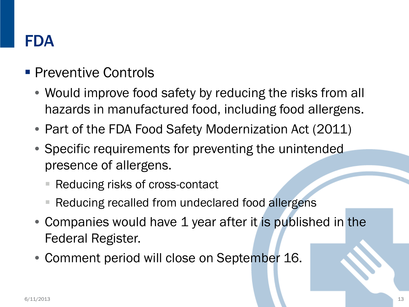# FDA

#### **Preventive Controls**

- Would improve food safety by reducing the risks from all hazards in manufactured food, including food allergens.
- Part of the FDA Food Safety Modernization Act (2011)
- Specific requirements for preventing the unintended presence of allergens.
	- Reducing risks of cross-contact
	- Reducing recalled from undeclared food allergens
- Companies would have 1 year after it is published in the Federal Register.
- Comment period will close on September 16.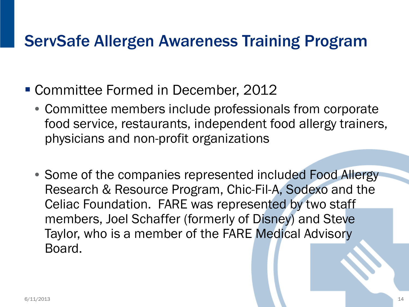# ServSafe Allergen Awareness Training Program

- Committee Formed in December, 2012
	- Committee members include professionals from corporate food service, restaurants, independent food allergy trainers, physicians and non-profit organizations
	- Some of the companies represented included Food Allergy Research & Resource Program, Chic-Fil-A, Sodexo and the Celiac Foundation. FARE was represented by two staff members, Joel Schaffer (formerly of Disney) and Steve Taylor, who is a member of the FARE Medical Advisory Board.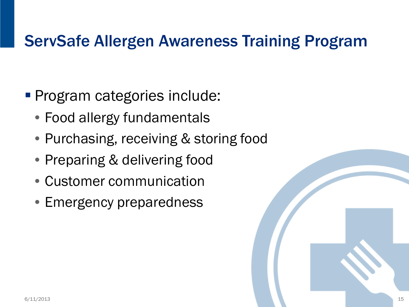# ServSafe Allergen Awareness Training Program

- **Program categories include:** 
	- Food allergy fundamentals
	- Purchasing, receiving & storing food
	- Preparing & delivering food
	- Customer communication
	- Emergency preparedness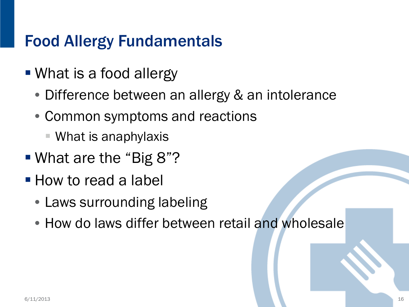# Food Allergy Fundamentals

- What is a food allergy
	- Difference between an allergy & an intolerance
	- Common symptoms and reactions
		- What is anaphylaxis
- What are the "Big 8"?
- **How to read a label** 
	- Laws surrounding labeling
	- How do laws differ between retail and wholesale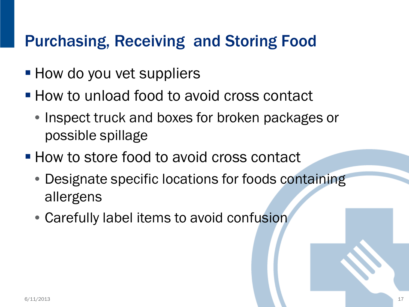# Purchasing, Receiving and Storing Food

- **How do you vet suppliers**
- **How to unload food to avoid cross contact** 
	- Inspect truck and boxes for broken packages or possible spillage
- **How to store food to avoid cross contact** 
	- Designate specific locations for foods containing allergens
	- Carefully label items to avoid confusion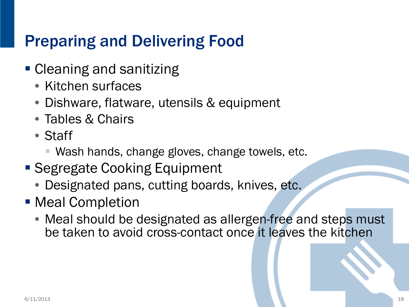# Preparing and Delivering Food

- **Cleaning and sanitizing** 
	- Kitchen surfaces
	- Dishware, flatware, utensils & equipment
	- Tables & Chairs
	- Staff
		- Wash hands, change gloves, change towels, etc.
- Segregate Cooking Equipment
	- Designated pans, cutting boards, knives, etc.
- **Meal Completion** 
	- Meal should be designated as allergen-free and steps must be taken to avoid cross-contact once it leaves the kitchen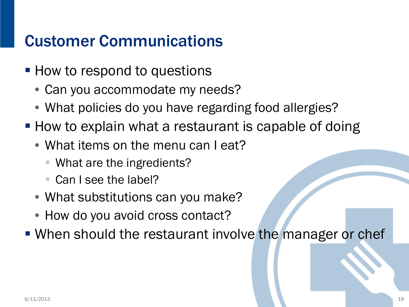# Customer Communications

- **How to respond to questions** 
	- Can you accommodate my needs?
	- What policies do you have regarding food allergies?
- **How to explain what a restaurant is capable of doing** 
	- What items on the menu can I eat?
		- What are the ingredients?
		- Can I see the label?
	- What substitutions can you make?
	- How do you avoid cross contact?
- **When should the restaurant involve the manager or chef-**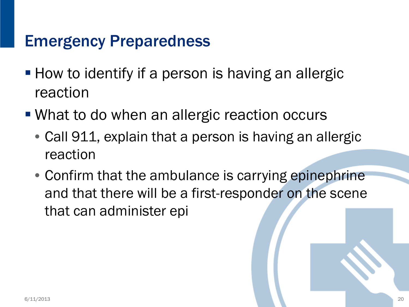#### Emergency Preparedness

- **How to identify if a person is having an allergic** reaction
- What to do when an allergic reaction occurs
	- Call 911, explain that a person is having an allergic reaction
	- Confirm that the ambulance is carrying epinephrine and that there will be a first-responder on the scene that can administer epi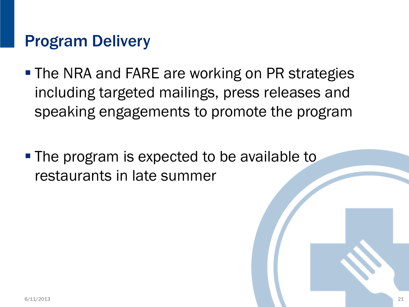#### Program Delivery

- **The NRA and FARE are working on PR strategies** including targeted mailings, press releases and speaking engagements to promote the program
- The program is expected to be available to restaurants in late summer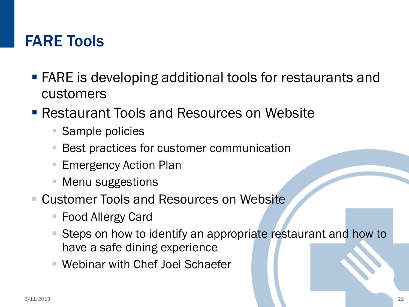#### FARE Tools

- FARE is developing additional tools for restaurants and customers
- **Restaurant Tools and Resources on Website** 
	- **Sample policies**
	- Best practices for customer communication
	- Emergency Action Plan
	- Menu suggestions
- Customer Tools and Resources on Website
	- Food Allergy Card
	- Steps on how to identify an appropriate restaurant and how to have a safe dining experience
	- Webinar with Chef Joel Schaefer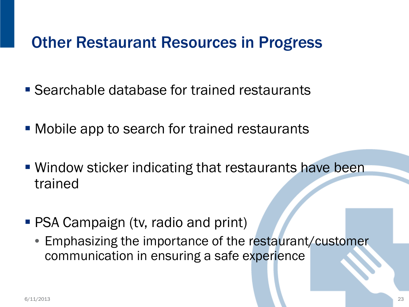# Other Restaurant Resources in Progress

- **Searchable database for trained restaurants**
- **Mobile app to search for trained restaurants**
- Window sticker indicating that restaurants have been trained
- **PSA Campaign (tv, radio and print)** 
	- Emphasizing the importance of the restaurant/customer communication in ensuring a safe experience